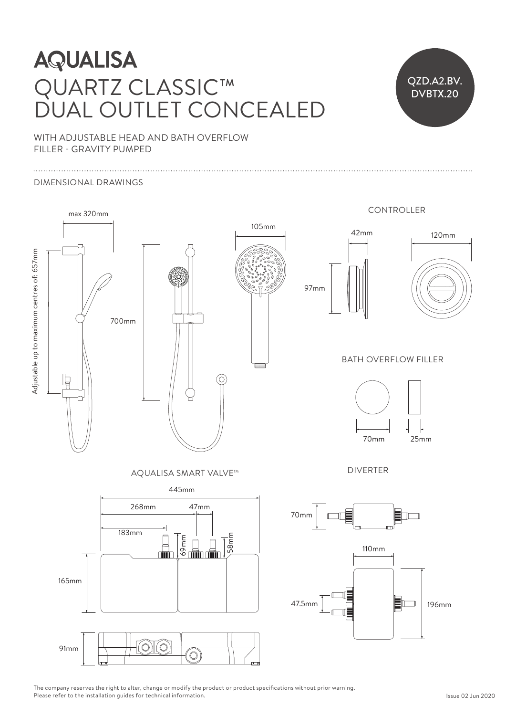## $\begin{array}{c} \n\lambda \n\end{array}$ **AQUALISA** QUARTZ CLASSIC™  $R\mid I \mid L \mid A$ .  $S\mid C$ . LILING ARM CAN LILING AT DUAL OUTLET CONCEALED 500 DUAL OUTLET CON DUAL OUTLET CONCL



25mm 70mm

70mm

WITH ADJUSTABLE HEAD AND BATH OVERFLOW FILLER - GRAVITY PUMPED

515mm 230mm 230mm 515mm 230mm 230mm

### DIMENSIONAL DRAWINGS



The company reserves the right to alter, change or modify the product or product specifications without prior warning. Please refer to the installation quides for technical information.